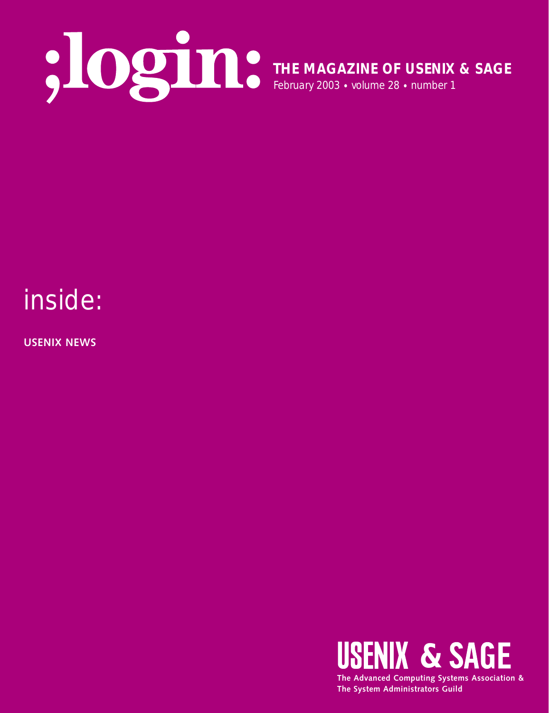

**THE MAGAZINE OF USENIX & SAGE** February 2003 • volume 28 • number 1

## inside:

**USENIX NEWS**

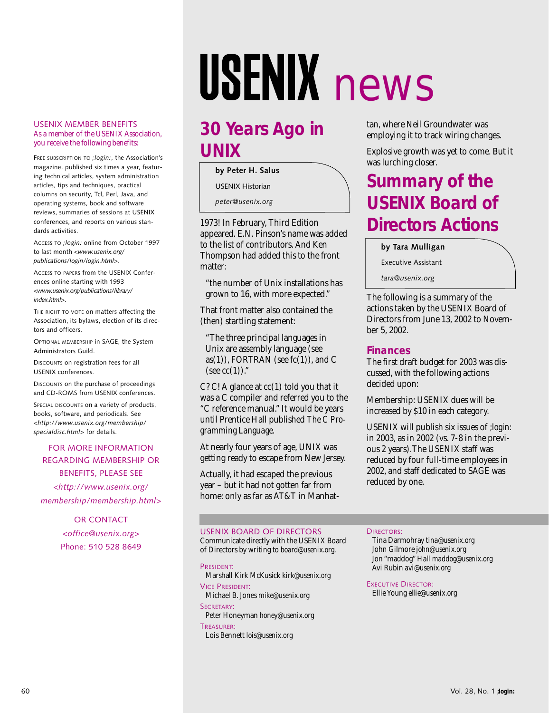# USENIX news

#### USENIX MEMBER BENEFITS As a member of the USENIX Association, you receive the following benefits:

FREE SUBSCRIPTION TO *;login:*, the Association's magazine, published six times a year, featuring technical articles, system administration articles, tips and techniques, practical columns on security, Tcl, Perl, Java, and operating systems, book and software reviews, summaries of sessions at USENIX conferences, and reports on various standards activities.

ACCESS TO *;login:* online from October 1997 to last month *<www.usenix.org/ publications/login/login.html>.*

ACCESS TO PAPERS from the USENIX Conferences online starting with 1993 *<www.usenix.org/publications/library/ index.html>*.

THE RIGHT TO VOTE on matters affecting the Association, its bylaws, election of its directors and officers.

OPTIONAL MEMBERSHIP in SAGE, the System Administrators Guild.

DISCOUNTS on registration fees for all USENIX conferences.

DISCOUNTS on the purchase of proceedings and CD-ROMS from USENIX conferences.

SPECIAL DISCOUNTS on a variety of products, books, software, and periodicals. See *<http://www.usenix.org/membership/ specialdisc.html>* for details.

#### FOR MORE INFORMATION REGARDING MEMBERSHIP OR BENEFITS, PLEASE SEE *<http://www.usenix.org/ membership/membership.html*>

OR CONTACT *<office@usenix.org*> Phone: 510 528 8649

## **30 Years Ago in UNIX**

**by Peter H. Salus**

USENIX Historian

*peter@usenix.org*

1973! In February, Third Edition appeared. E.N. Pinson's name was added to the list of contributors. And Ken Thompson had added this to the front matter:

"the number of Unix installations has grown to 16, with more expected."

That front matter also contained the (then) startling statement:

"The three principal languages in Unix are assembly language (see as(1)), FORTRAN (see  $fc(1)$ ), and C (see  $cc(1)$ )."

C? C! A glance at  $cc(1)$  told you that it was a C compiler and referred you to the "C reference manual." It would be years until Prentice Hall published *The C Programming Language*.

At nearly four years of age, UNIX was getting ready to escape from New Jersey.

Actually, it had escaped the previous year – but it had not gotten far from home: only as far as AT&T in Manhattan, where Neil Groundwater was employing it to track wiring changes.

Explosive growth was yet to come. But it was lurching closer.

## **Summary of the USENIX Board of Directors Actions**

**by Tara Mulligan**

Executive Assistant

*tara@usenix.org*

The following is a summary of the actions taken by the USENIX Board of Directors from June 13, 2002 to November 5, 2002.

#### **Finances**

The first draft budget for 2003 was discussed, with the following actions decided upon:

Membership: USENIX dues will be increased by \$10 in each category.

USENIX will publish six issues of *;login:* in 2003, as in 2002 (vs. 7-8 in the previous 2 years).The USENIX staff was reduced by four full-time employees in 2002, and staff dedicated to SAGE was reduced by one.

#### USENIX BOARD OF DIRECTORS

Communicate directly with the USENIX Board of Directors by writing to *board@usenix.org*.

PRESIDENT: Marshall Kirk McKusick *kirk@usenix.org* VICE PRESIDENT: Michael B. Jones *mike@usenix.org* SECRETARY:

Peter Honeyman *honey@usenix.org* TREASURER:

Lois Bennett *lois@usenix.org*

#### DIRECTORS:

Tina Darmohray *tina@usenix.org* John Gilmore *john@usenix.org* Jon "maddog" Hall *maddog@usenix.org* Avi Rubin *avi@usenix.org*

EXECUTIVE DIRECTOR: Ellie Young *ellie@usenix.org*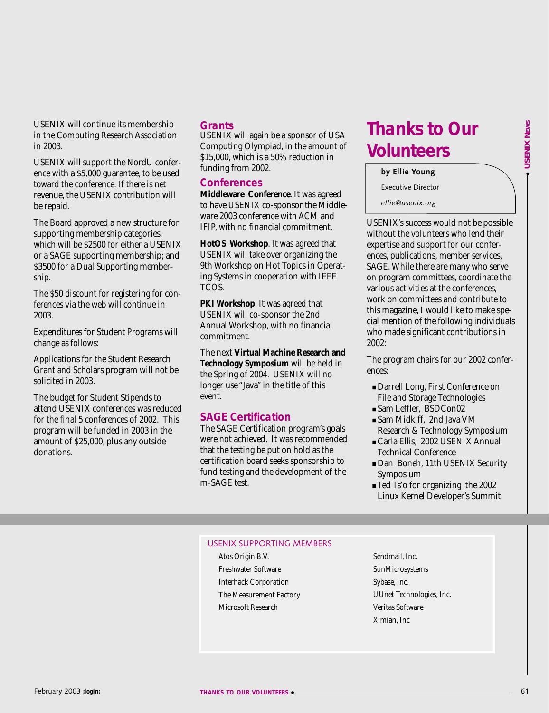USENIX will continue its membership in the Computing Research Association in 2003.

USENIX will support the NordU conference with a \$5,000 guarantee, to be used toward the conference. If there is net revenue, the USENIX contribution will be repaid.

The Board approved a new structure for supporting membership categories, which will be \$2500 for either a USENIX or a SAGE supporting membership; and \$3500 for a Dual Supporting membership.

The \$50 discount for registering for conferences via the web will continue in 2003.

Expenditures for Student Programs will change as follows:

Applications for the Student Research Grant and Scholars program will not be solicited in 2003.

The budget for Student Stipends to attend USENIX conferences was reduced for the final 5 conferences of 2002. This program will be funded in 2003 in the amount of \$25,000, plus any outside donations.

#### **Grants**

USENIX will again be a sponsor of USA Computing Olympiad, in the amount of \$15,000, which is a 50% reduction in funding from 2002.

#### **Conferences**

**Middleware Conference**. It was agreed to have USENIX co-sponsor the Middleware 2003 conference with ACM and IFIP, with no financial commitment.

**HotOS Workshop**. It was agreed that USENIX will take over organizing the 9th Workshop on Hot Topics in Operating Systems in cooperation with IEEE TCOS.

**PKI Workshop**. It was agreed that USENIX will co-sponsor the 2nd Annual Workshop, with no financial commitment.

The next **Virtual Machine Research and Technology Symposium** will be held in the Spring of 2004. USENIX will no longer use "Java" in the title of this event.

#### **SAGE Certification**

The SAGE Certification program's goals were not achieved. It was recommended that the testing be put on hold as the certification board seeks sponsorship to fund testing and the development of the m-SAGE test.

## **Thanks to Our Volunteers**

#### **by Ellie Young**

Executive Director

*ellie@usenix.org*

USENIX's success would not be possible without the volunteers who lend their expertise and support for our conferences, publications, member services, SAGE. While there are many who serve on program committees, coordinate the various activities at the conferences, work on committees and contribute to this magazine, I would like to make special mention of the following individuals who made significant contributions in 2002:

The program chairs for our 2002 conferences:

- Darrell Long, First Conference on File and Storage Technologies
- Sam Leffler, BSDCon02
- Sam Midkiff, 2nd Java VM Research & Technology Symposium
- Carla Ellis, 2002 USENIX Annual Technical Conference
- Dan Boneh, 11th USENIX Security Symposium
- Ted Ts'o for organizing the 2002 Linux Kernel Developer's Summit

#### USENIX SUPPORTING MEMBERS

- Atos Origin B.V. Freshwater Software Interhack Corporation The Measurement Factory Microsoft Research
- Sendmail, Inc. SunMicrosystems Sybase, Inc. UUnet Technologies, Inc. Veritas Software Ximian, Inc